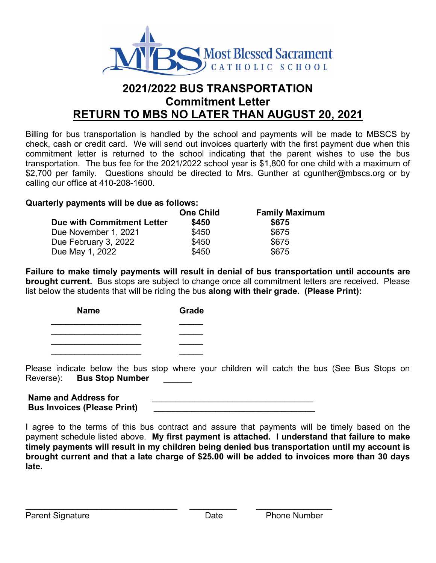

## **2021/2022 BUS TRANSPORTATION Commitment Letter RETURN TO MBS NO LATER THAN AUGUST 20, 2021**

Billing for bus transportation is handled by the school and payments will be made to MBSCS by check, cash or credit card. We will send out invoices quarterly with the first payment due when this commitment letter is returned to the school indicating that the parent wishes to use the bus transportation. The bus fee for the 2021/2022 school year is \$1,800 for one child with a maximum of \$2,700 per family. Questions should be directed to Mrs. Gunther at cgunther@mbscs.org or by calling our office at 410-208-1600.

## **Quarterly payments will be due as follows:**

|                            | <b>One Child</b> | <b>Family Maximum</b> |  |
|----------------------------|------------------|-----------------------|--|
| Due with Commitment Letter | \$450            | \$675                 |  |
| Due November 1, 2021       | \$450            | \$675                 |  |
| Due February 3, 2022       | \$450            | \$675                 |  |
| Due May 1, 2022            | \$450            | \$675                 |  |

**Failure to make timely payments will result in denial of bus transportation until accounts are brought current.** Bus stops are subject to change once all commitment letters are received. Please list below the students that will be riding the bus **along with their grade. (Please Print):**

| <b>Name</b> | Grade |  |
|-------------|-------|--|
|             |       |  |
|             |       |  |
|             |       |  |
|             |       |  |

Please indicate below the bus stop where your children will catch the bus (See Bus Stops on Reverse): **Bus Stop Number \_\_\_\_\_\_**

Name and Address for **Bus Invoices (Please Print)** \_\_\_\_\_\_\_\_\_\_\_\_\_\_\_\_\_\_\_\_\_\_\_\_\_\_\_\_\_\_\_\_\_\_

I agree to the terms of this bus contract and assure that payments will be timely based on the payment schedule listed above. **My first payment is attached. I understand that failure to make timely payments will result in my children being denied bus transportation until my account is brought current and that a late charge of \$25.00 will be added to invoices more than 30 days late.**